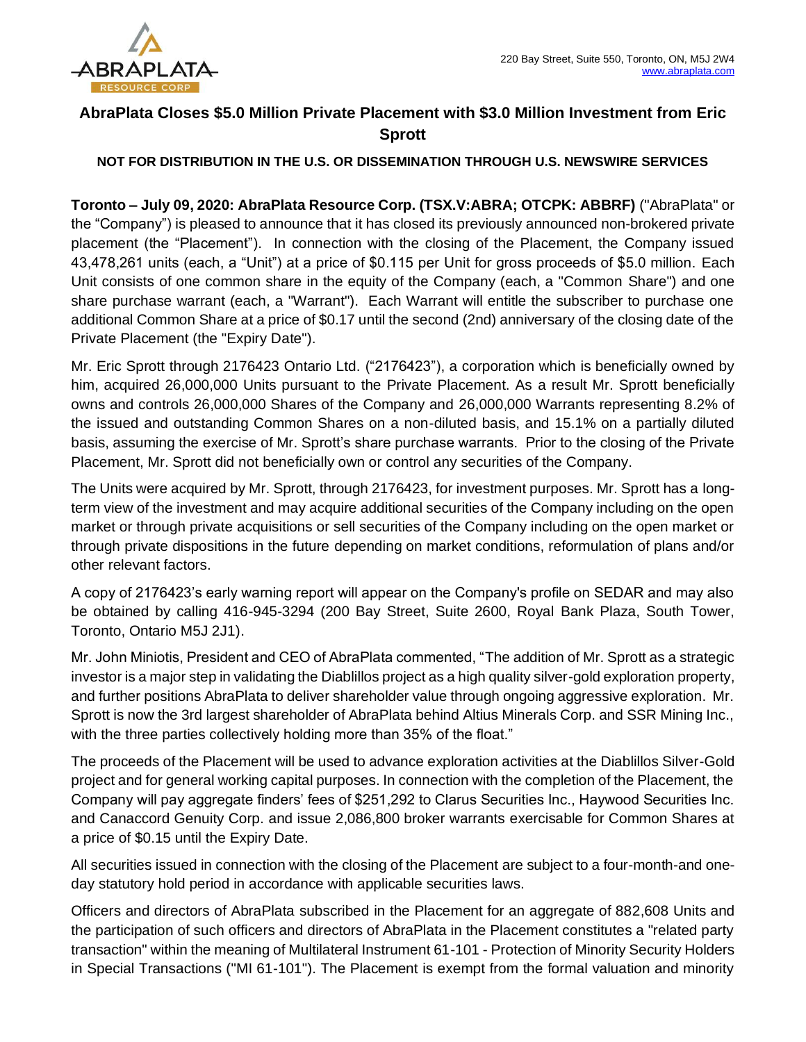

## **AbraPlata Closes \$5.0 Million Private Placement with \$3.0 Million Investment from Eric Sprott**

## **NOT FOR DISTRIBUTION IN THE U.S. OR DISSEMINATION THROUGH U.S. NEWSWIRE SERVICES**

**Toronto – July 09, 2020: AbraPlata Resource Corp. (TSX.V:ABRA; OTCPK: ABBRF)** ("AbraPlata" or the "Company") is pleased to announce that it has closed its previously announced non-brokered private placement (the "Placement"). In connection with the closing of the Placement, the Company issued 43,478,261 units (each, a "Unit") at a price of \$0.115 per Unit for gross proceeds of \$5.0 million. Each Unit consists of one common share in the equity of the Company (each, a "Common Share") and one share purchase warrant (each, a "Warrant"). Each Warrant will entitle the subscriber to purchase one additional Common Share at a price of \$0.17 until the second (2nd) anniversary of the closing date of the Private Placement (the "Expiry Date").

Mr. Eric Sprott through 2176423 Ontario Ltd. ("2176423"), a corporation which is beneficially owned by him, acquired 26,000,000 Units pursuant to the Private Placement. As a result Mr. Sprott beneficially owns and controls 26,000,000 Shares of the Company and 26,000,000 Warrants representing 8.2% of the issued and outstanding Common Shares on a non-diluted basis, and 15.1% on a partially diluted basis, assuming the exercise of Mr. Sprott's share purchase warrants. Prior to the closing of the Private Placement, Mr. Sprott did not beneficially own or control any securities of the Company.

The Units were acquired by Mr. Sprott, through 2176423, for investment purposes. Mr. Sprott has a longterm view of the investment and may acquire additional securities of the Company including on the open market or through private acquisitions or sell securities of the Company including on the open market or through private dispositions in the future depending on market conditions, reformulation of plans and/or other relevant factors.

A copy of 2176423's early warning report will appear on the Company's profile on SEDAR and may also be obtained by calling 416-945-3294 (200 Bay Street, Suite 2600, Royal Bank Plaza, South Tower, Toronto, Ontario M5J 2J1).

Mr. John Miniotis, President and CEO of AbraPlata commented, "The addition of Mr. Sprott as a strategic investor is a major step in validating the Diablillos project as a high quality silver-gold exploration property, and further positions AbraPlata to deliver shareholder value through ongoing aggressive exploration. Mr. Sprott is now the 3rd largest shareholder of AbraPlata behind Altius Minerals Corp. and SSR Mining Inc., with the three parties collectively holding more than 35% of the float."

The proceeds of the Placement will be used to advance exploration activities at the Diablillos Silver-Gold project and for general working capital purposes. In connection with the completion of the Placement, the Company will pay aggregate finders' fees of \$251,292 to Clarus Securities Inc., Haywood Securities Inc. and Canaccord Genuity Corp. and issue 2,086,800 broker warrants exercisable for Common Shares at a price of \$0.15 until the Expiry Date.

All securities issued in connection with the closing of the Placement are subject to a four-month-and oneday statutory hold period in accordance with applicable securities laws.

Officers and directors of AbraPlata subscribed in the Placement for an aggregate of 882,608 Units and the participation of such officers and directors of AbraPlata in the Placement constitutes a "related party transaction" within the meaning of Multilateral Instrument 61-101 - Protection of Minority Security Holders in Special Transactions ("MI 61-101"). The Placement is exempt from the formal valuation and minority